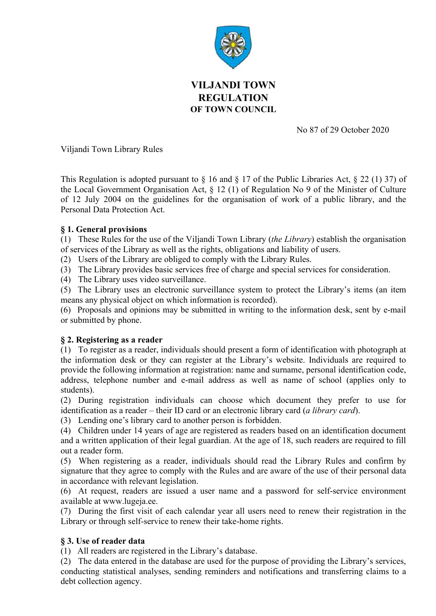

# VILJANDI TOWN REGULATION OF TOWN COUNCIL

No 87 of 29 October 2020

Viljandi Town Library Rules

This Regulation is adopted pursuant to  $\S$  16 and  $\S$  17 of the Public Libraries Act,  $\S$  22 (1) 37) of the Local Government Organisation Act, § 12 (1) of Regulation No 9 of the Minister of Culture of 12 July 2004 on the guidelines for the organisation of work of a public library, and the Personal Data Protection Act.

## § 1. General provisions

(1) These Rules for the use of the Viljandi Town Library (the Library) establish the organisation of services of the Library as well as the rights, obligations and liability of users.

(2) Users of the Library are obliged to comply with the Library Rules.

(3) The Library provides basic services free of charge and special services for consideration.

(4) The Library uses video surveillance.

(5) The Library uses an electronic surveillance system to protect the Library's items (an item means any physical object on which information is recorded).

(6) Proposals and opinions may be submitted in writing to the information desk, sent by e-mail or submitted by phone.

## § 2. Registering as a reader

(1) To register as a reader, individuals should present a form of identification with photograph at the information desk or they can register at the Library's website. Individuals are required to provide the following information at registration: name and surname, personal identification code, address, telephone number and e-mail address as well as name of school (applies only to students).

(2) During registration individuals can choose which document they prefer to use for identification as a reader – their ID card or an electronic library card (a library card).

(3) Lending one's library card to another person is forbidden.

(4) Children under 14 years of age are registered as readers based on an identification document and a written application of their legal guardian. At the age of 18, such readers are required to fill out a reader form.

(5) When registering as a reader, individuals should read the Library Rules and confirm by signature that they agree to comply with the Rules and are aware of the use of their personal data in accordance with relevant legislation.

(6) At request, readers are issued a user name and a password for self-service environment available at www.lugeja.ee.

(7) During the first visit of each calendar year all users need to renew their registration in the Library or through self-service to renew their take-home rights.

## § 3. Use of reader data

(1) All readers are registered in the Library's database.

(2) The data entered in the database are used for the purpose of providing the Library's services, conducting statistical analyses, sending reminders and notifications and transferring claims to a debt collection agency.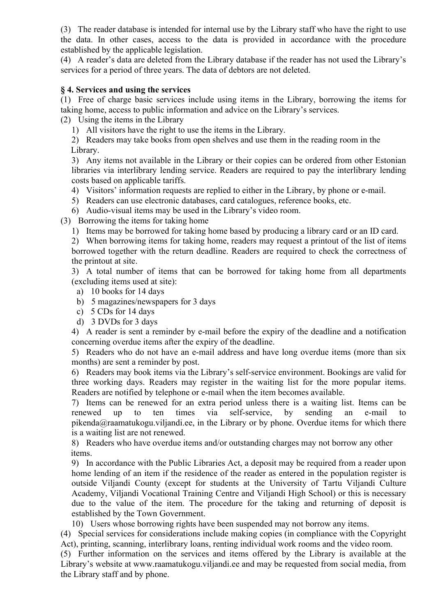(3) The reader database is intended for internal use by the Library staff who have the right to use the data. In other cases, access to the data is provided in accordance with the procedure established by the applicable legislation.

(4) A reader's data are deleted from the Library database if the reader has not used the Library's services for a period of three years. The data of debtors are not deleted.

#### § 4. Services and using the services

(1) Free of charge basic services include using items in the Library, borrowing the items for taking home, access to public information and advice on the Library's services.

(2) Using the items in the Library

1) All visitors have the right to use the items in the Library.

2) Readers may take books from open shelves and use them in the reading room in the Library.

3) Any items not available in the Library or their copies can be ordered from other Estonian libraries via interlibrary lending service. Readers are required to pay the interlibrary lending costs based on applicable tariffs.

- 4) Visitors' information requests are replied to either in the Library, by phone or e-mail.
- 5) Readers can use electronic databases, card catalogues, reference books, etc.

6) Audio-visual items may be used in the Library's video room.

(3) Borrowing the items for taking home

1) Items may be borrowed for taking home based by producing a library card or an ID card.

2) When borrowing items for taking home, readers may request a printout of the list of items borrowed together with the return deadline. Readers are required to check the correctness of the printout at site.

3) A total number of items that can be borrowed for taking home from all departments (excluding items used at site):

- a) 10 books for 14 days
- b) 5 magazines/newspapers for 3 days
- c) 5 CDs for 14 days
- d) 3 DVDs for 3 days

4) A reader is sent a reminder by e-mail before the expiry of the deadline and a notification concerning overdue items after the expiry of the deadline.

5) Readers who do not have an e-mail address and have long overdue items (more than six months) are sent a reminder by post.

6) Readers may book items via the Library's self-service environment. Bookings are valid for three working days. Readers may register in the waiting list for the more popular items. Readers are notified by telephone or e-mail when the item becomes available.

7) Items can be renewed for an extra period unless there is a waiting list. Items can be renewed up to ten times via self-service, by sending an e-mail to pikenda@raamatukogu.viljandi.ee, in the Library or by phone. Overdue items for which there is a waiting list are not renewed.

8) Readers who have overdue items and/or outstanding charges may not borrow any other items.

9) In accordance with the Public Libraries Act, a deposit may be required from a reader upon home lending of an item if the residence of the reader as entered in the population register is outside Viljandi County (except for students at the University of Tartu Viljandi Culture Academy, Viljandi Vocational Training Centre and Viljandi High School) or this is necessary due to the value of the item. The procedure for the taking and returning of deposit is established by the Town Government.

10) Users whose borrowing rights have been suspended may not borrow any items.

(4) Special services for considerations include making copies (in compliance with the Copyright Act), printing, scanning, interlibrary loans, renting individual work rooms and the video room.

(5) Further information on the services and items offered by the Library is available at the Library's website at www.raamatukogu.viljandi.ee and may be requested from social media, from the Library staff and by phone.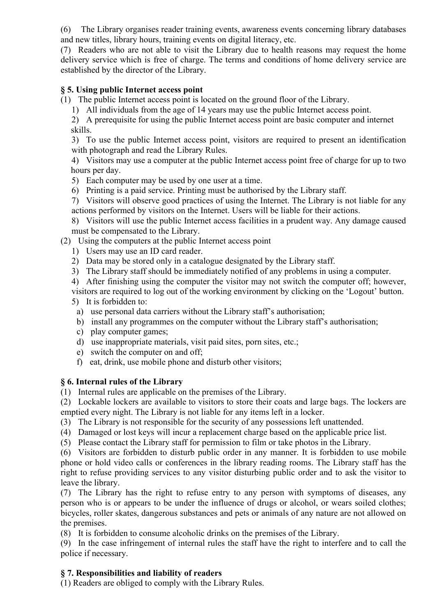(6) The Library organises reader training events, awareness events concerning library databases and new titles, library hours, training events on digital literacy, etc.

(7) Readers who are not able to visit the Library due to health reasons may request the home delivery service which is free of charge. The terms and conditions of home delivery service are established by the director of the Library.

## § 5. Using public Internet access point

(1) The public Internet access point is located on the ground floor of the Library.

1) All individuals from the age of 14 years may use the public Internet access point.

2) A prerequisite for using the public Internet access point are basic computer and internet skills.

3) To use the public Internet access point, visitors are required to present an identification with photograph and read the Library Rules.

4) Visitors may use a computer at the public Internet access point free of charge for up to two hours per day.

- 5) Each computer may be used by one user at a time.
- 6) Printing is a paid service. Printing must be authorised by the Library staff.

7) Visitors will observe good practices of using the Internet. The Library is not liable for any actions performed by visitors on the Internet. Users will be liable for their actions.

8) Visitors will use the public Internet access facilities in a prudent way. Any damage caused must be compensated to the Library.

- (2) Using the computers at the public Internet access point
	- 1) Users may use an ID card reader.
	- 2) Data may be stored only in a catalogue designated by the Library staff.
	- 3) The Library staff should be immediately notified of any problems in using a computer.
	- 4) After finishing using the computer the visitor may not switch the computer off; however, visitors are required to log out of the working environment by clicking on the 'Logout' button.
	- 5) It is forbidden to:
		- a) use personal data carriers without the Library staff's authorisation;
		- b) install any programmes on the computer without the Library staff's authorisation;
		- c) play computer games;
		- d) use inappropriate materials, visit paid sites, porn sites, etc.;
		- e) switch the computer on and off;
		- f) eat, drink, use mobile phone and disturb other visitors;

## § 6. Internal rules of the Library

(1) Internal rules are applicable on the premises of the Library.

(2) Lockable lockers are available to visitors to store their coats and large bags. The lockers are emptied every night. The Library is not liable for any items left in a locker.

- (3) The Library is not responsible for the security of any possessions left unattended.
- (4) Damaged or lost keys will incur a replacement charge based on the applicable price list.

(5) Please contact the Library staff for permission to film or take photos in the Library.

(6) Visitors are forbidden to disturb public order in any manner. It is forbidden to use mobile phone or hold video calls or conferences in the library reading rooms. The Library staff has the right to refuse providing services to any visitor disturbing public order and to ask the visitor to leave the library.

(7) The Library has the right to refuse entry to any person with symptoms of diseases, any person who is or appears to be under the influence of drugs or alcohol, or wears soiled clothes; bicycles, roller skates, dangerous substances and pets or animals of any nature are not allowed on the premises.

(8) It is forbidden to consume alcoholic drinks on the premises of the Library.

(9) In the case infringement of internal rules the staff have the right to interfere and to call the police if necessary.

## § 7. Responsibilities and liability of readers

(1) Readers are obliged to comply with the Library Rules.